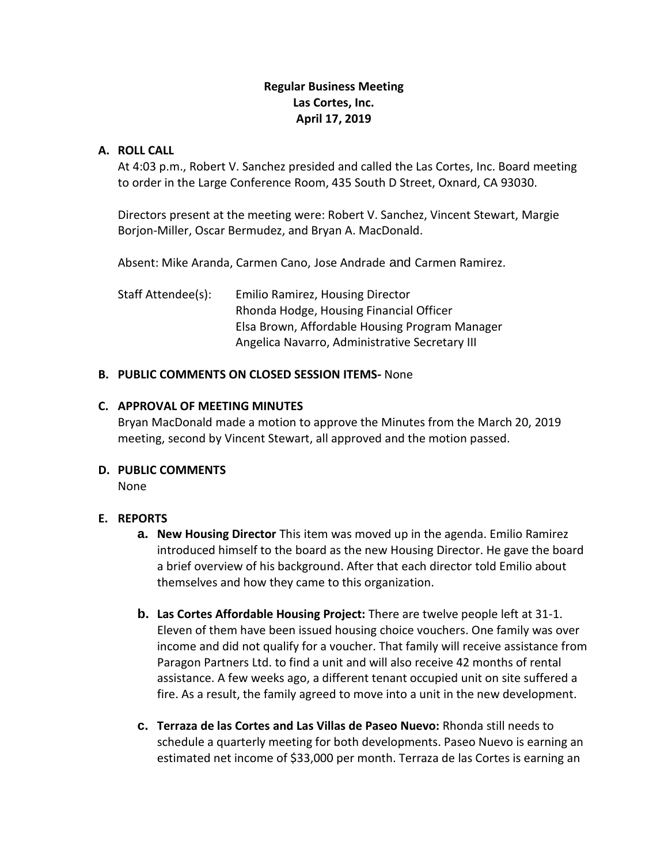# **Regular Business Meeting Las Cortes, Inc. April 17, 2019**

## **A. ROLL CALL**

At 4:03 p.m., Robert V. Sanchez presided and called the Las Cortes, Inc. Board meeting to order in the Large Conference Room, 435 South D Street, Oxnard, CA 93030.

Directors present at the meeting were: Robert V. Sanchez, Vincent Stewart, Margie Borjon-Miller, Oscar Bermudez, and Bryan A. MacDonald.

Absent: Mike Aranda, Carmen Cano, Jose Andrade and Carmen Ramirez.

Staff Attendee(s): Emilio Ramirez, Housing Director Rhonda Hodge, Housing Financial Officer Elsa Brown, Affordable Housing Program Manager Angelica Navarro, Administrative Secretary III

# **B. PUBLIC COMMENTS ON CLOSED SESSION ITEMS-** None

# **C. APPROVAL OF MEETING MINUTES**

Bryan MacDonald made a motion to approve the Minutes from the March 20, 2019 meeting, second by Vincent Stewart, all approved and the motion passed.

#### **D. PUBLIC COMMENTS**

None

# **E. REPORTS**

- **a. New Housing Director** This item was moved up in the agenda. Emilio Ramirez introduced himself to the board as the new Housing Director. He gave the board a brief overview of his background. After that each director told Emilio about themselves and how they came to this organization.
- **b. Las Cortes Affordable Housing Project:** There are twelve people left at 31-1. Eleven of them have been issued housing choice vouchers. One family was over income and did not qualify for a voucher. That family will receive assistance from Paragon Partners Ltd. to find a unit and will also receive 42 months of rental assistance. A few weeks ago, a different tenant occupied unit on site suffered a fire. As a result, the family agreed to move into a unit in the new development.
- **c. Terraza de las Cortes and Las Villas de Paseo Nuevo:** Rhonda still needs to schedule a quarterly meeting for both developments. Paseo Nuevo is earning an estimated net income of \$33,000 per month. Terraza de las Cortes is earning an